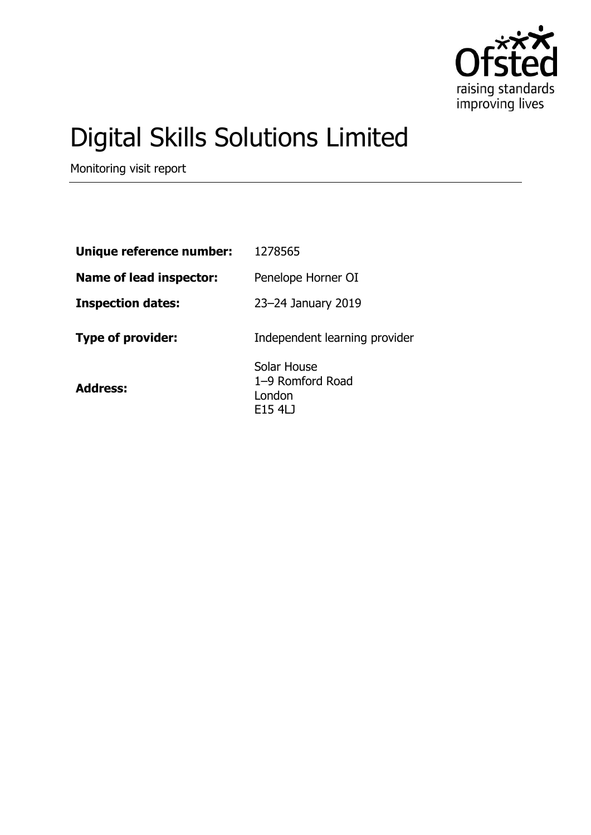

# Digital Skills Solutions Limited

Monitoring visit report

| Unique reference number:       | 1278565                                              |
|--------------------------------|------------------------------------------------------|
| <b>Name of lead inspector:</b> | Penelope Horner OI                                   |
| <b>Inspection dates:</b>       | 23–24 January 2019                                   |
| <b>Type of provider:</b>       | Independent learning provider                        |
| <b>Address:</b>                | Solar House<br>1-9 Romford Road<br>London<br>E15 4LJ |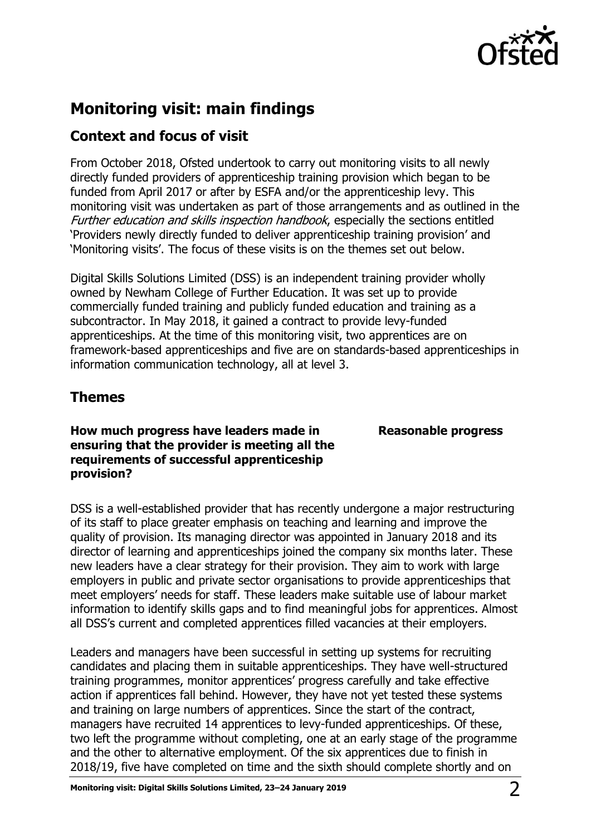

## **Monitoring visit: main findings**

## **Context and focus of visit**

From October 2018, Ofsted undertook to carry out monitoring visits to all newly directly funded providers of apprenticeship training provision which began to be funded from April 2017 or after by ESFA and/or the apprenticeship levy. This monitoring visit was undertaken as part of those arrangements and as outlined in the Further education and skills inspection handbook, especially the sections entitled 'Providers newly directly funded to deliver apprenticeship training provision' and 'Monitoring visits'. The focus of these visits is on the themes set out below.

Digital Skills Solutions Limited (DSS) is an independent training provider wholly owned by Newham College of Further Education. It was set up to provide commercially funded training and publicly funded education and training as a subcontractor. In May 2018, it gained a contract to provide levy-funded apprenticeships. At the time of this monitoring visit, two apprentices are on framework-based apprenticeships and five are on standards-based apprenticeships in information communication technology, all at level 3.

### **Themes**

**How much progress have leaders made in ensuring that the provider is meeting all the requirements of successful apprenticeship provision?**

**Reasonable progress**

DSS is a well-established provider that has recently undergone a major restructuring of its staff to place greater emphasis on teaching and learning and improve the quality of provision. Its managing director was appointed in January 2018 and its director of learning and apprenticeships joined the company six months later. These new leaders have a clear strategy for their provision. They aim to work with large employers in public and private sector organisations to provide apprenticeships that meet employers' needs for staff. These leaders make suitable use of labour market information to identify skills gaps and to find meaningful jobs for apprentices. Almost all DSS's current and completed apprentices filled vacancies at their employers.

Leaders and managers have been successful in setting up systems for recruiting candidates and placing them in suitable apprenticeships. They have well-structured training programmes, monitor apprentices' progress carefully and take effective action if apprentices fall behind. However, they have not yet tested these systems and training on large numbers of apprentices. Since the start of the contract, managers have recruited 14 apprentices to levy-funded apprenticeships. Of these, two left the programme without completing, one at an early stage of the programme and the other to alternative employment. Of the six apprentices due to finish in 2018/19, five have completed on time and the sixth should complete shortly and on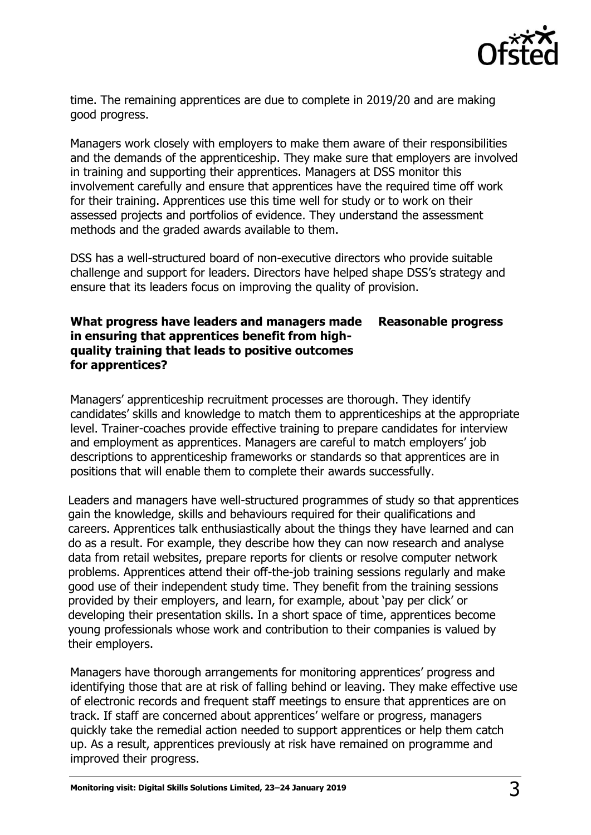

time. The remaining apprentices are due to complete in 2019/20 and are making good progress.

Managers work closely with employers to make them aware of their responsibilities and the demands of the apprenticeship. They make sure that employers are involved in training and supporting their apprentices. Managers at DSS monitor this involvement carefully and ensure that apprentices have the required time off work for their training. Apprentices use this time well for study or to work on their assessed projects and portfolios of evidence. They understand the assessment methods and the graded awards available to them.

DSS has a well-structured board of non-executive directors who provide suitable challenge and support for leaders. Directors have helped shape DSS's strategy and ensure that its leaders focus on improving the quality of provision.

#### **What progress have leaders and managers made in ensuring that apprentices benefit from highquality training that leads to positive outcomes for apprentices? Reasonable progress**

Managers' apprenticeship recruitment processes are thorough. They identify candidates' skills and knowledge to match them to apprenticeships at the appropriate level. Trainer-coaches provide effective training to prepare candidates for interview and employment as apprentices. Managers are careful to match employers' job descriptions to apprenticeship frameworks or standards so that apprentices are in positions that will enable them to complete their awards successfully.

Leaders and managers have well-structured programmes of study so that apprentices gain the knowledge, skills and behaviours required for their qualifications and careers. Apprentices talk enthusiastically about the things they have learned and can do as a result. For example, they describe how they can now research and analyse data from retail websites, prepare reports for clients or resolve computer network problems. Apprentices attend their off-the-job training sessions regularly and make good use of their independent study time. They benefit from the training sessions provided by their employers, and learn, for example, about 'pay per click' or developing their presentation skills. In a short space of time, apprentices become young professionals whose work and contribution to their companies is valued by their employers.

Managers have thorough arrangements for monitoring apprentices' progress and identifying those that are at risk of falling behind or leaving. They make effective use of electronic records and frequent staff meetings to ensure that apprentices are on track. If staff are concerned about apprentices' welfare or progress, managers quickly take the remedial action needed to support apprentices or help them catch up. As a result, apprentices previously at risk have remained on programme and improved their progress.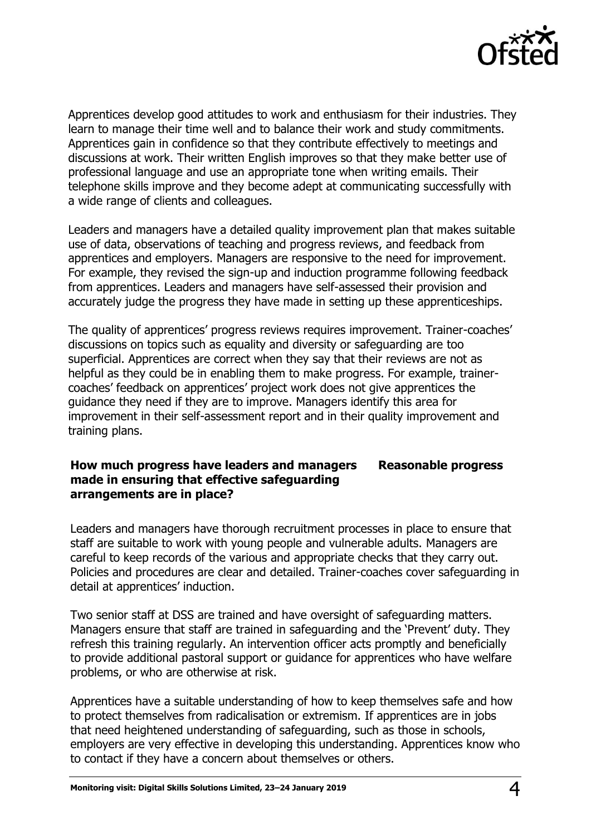

Apprentices develop good attitudes to work and enthusiasm for their industries. They learn to manage their time well and to balance their work and study commitments. Apprentices gain in confidence so that they contribute effectively to meetings and discussions at work. Their written English improves so that they make better use of professional language and use an appropriate tone when writing emails. Their telephone skills improve and they become adept at communicating successfully with a wide range of clients and colleagues.

Leaders and managers have a detailed quality improvement plan that makes suitable use of data, observations of teaching and progress reviews, and feedback from apprentices and employers. Managers are responsive to the need for improvement. For example, they revised the sign-up and induction programme following feedback from apprentices. Leaders and managers have self-assessed their provision and accurately judge the progress they have made in setting up these apprenticeships.

The quality of apprentices' progress reviews requires improvement. Trainer-coaches' discussions on topics such as equality and diversity or safeguarding are too superficial. Apprentices are correct when they say that their reviews are not as helpful as they could be in enabling them to make progress. For example, trainercoaches' feedback on apprentices' project work does not give apprentices the guidance they need if they are to improve. Managers identify this area for improvement in their self-assessment report and in their quality improvement and training plans.

#### **How much progress have leaders and managers made in ensuring that effective safeguarding arrangements are in place? Reasonable progress**

Leaders and managers have thorough recruitment processes in place to ensure that staff are suitable to work with young people and vulnerable adults. Managers are careful to keep records of the various and appropriate checks that they carry out. Policies and procedures are clear and detailed. Trainer-coaches cover safeguarding in detail at apprentices' induction.

Two senior staff at DSS are trained and have oversight of safeguarding matters. Managers ensure that staff are trained in safeguarding and the 'Prevent' duty. They refresh this training regularly. An intervention officer acts promptly and beneficially to provide additional pastoral support or guidance for apprentices who have welfare problems, or who are otherwise at risk.

Apprentices have a suitable understanding of how to keep themselves safe and how to protect themselves from radicalisation or extremism. If apprentices are in jobs that need heightened understanding of safeguarding, such as those in schools, employers are very effective in developing this understanding. Apprentices know who to contact if they have a concern about themselves or others.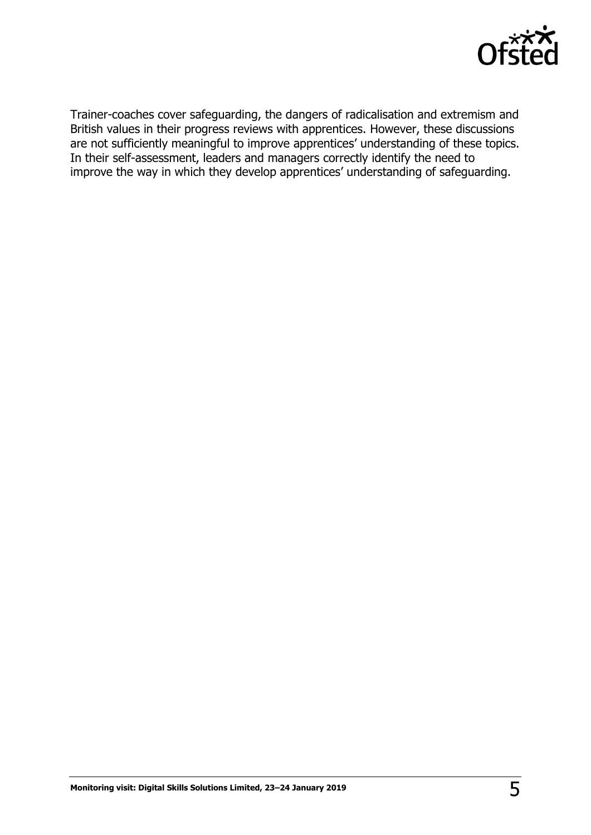

Trainer-coaches cover safeguarding, the dangers of radicalisation and extremism and British values in their progress reviews with apprentices. However, these discussions are not sufficiently meaningful to improve apprentices' understanding of these topics. In their self-assessment, leaders and managers correctly identify the need to improve the way in which they develop apprentices' understanding of safeguarding.